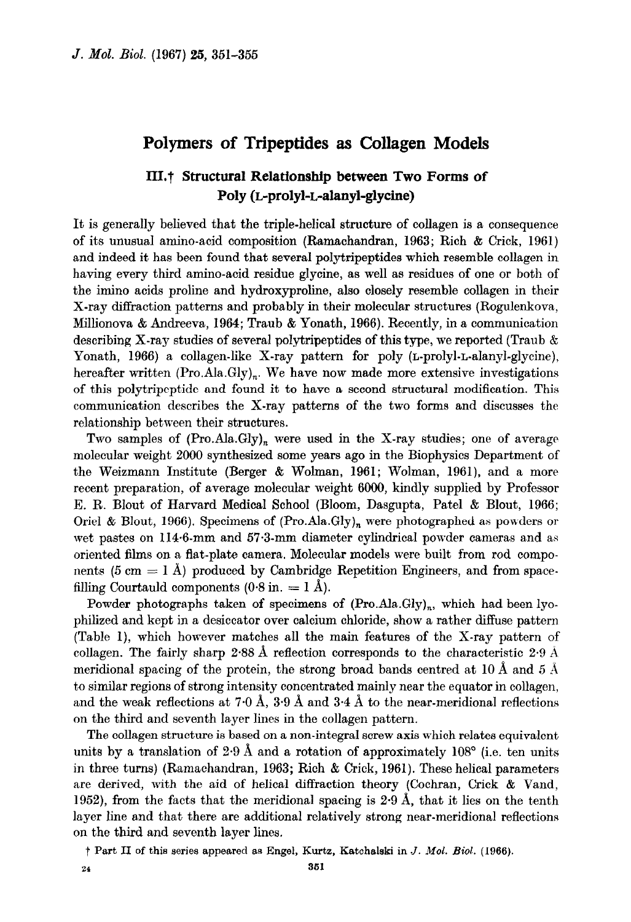## Polymers of Tripeptides as Collagen Models

## III.<sup>†</sup> Structural Relationship between Two Forms of Poly (L-prolyl-L-alanyl-glycine)

It is generally believed that the triple-helical structure of collagen is a consequence of its unusual amino-acid composition (Ramachandran, 1963; Rich & Crick, 1961) and indeed it has been found that several polytripeptides which resemble collagen in having every third amino-acid residue glycine, as well as residues of one or both of the imino acids proline and hydroxyproline, also closely resemble collagen in their X-ray diffraction patterns and probably in their molecular structures (Rogulenkova, Millionova & Andreeva, 1964; Traub & Yonath, 1966). Recently, in a communication describing X-ray studies of several polytripeptides of this type, we reported (Traub & Yonath, 1966) a collagen-like X-ray pattern for poly (L-prolyl-L-alanyl-glycine), hereafter written  $(Pro. Ala.Gly)_n$ . We have now made more extensive investigations of this polytripeptide and found it to have a second structural modification. This communication describes the X-ray patterns of the two forms and discusses the relationship between their structures.

Two samples of  $(Pro.Aa.Gly)_n$  were used in the X-ray studies; one of average molecular weight 2000 synthesized some years ago in the Biophysics Department of the Weizmann Institute (Berger & Wolman, 1961; Wolman, 1961), and a more recent preparation, of average molecular weight 6000, kindly supplied by Professor E. R. Blout of Harvard Medical School (Bloom, Dasgupta, Pate1 & Blout, 1966; Oriel & Blout, 1966). Specimens of  $(Pro. Ala.Gly)<sub>n</sub>$  were photographed as powders or wet pastes on 114.6-mm and 57.3-mm diameter cylindrical powder cameras and as oriented films on a flat-plate camera. Molecular models were built from rod components (5 cm  $=$  1 Å) produced by Cambridge Repetition Engineers, and from spacefilling Courtauld components  $(0.8 \text{ in.} = 1 \text{ A}).$ 

Powder photographs taken of specimens of  $(Pro.Ala.Gly)<sub>n</sub>$ , which had been lyophilized and kept in a desiccator over calcium chloride, show a rather diffuse pattern (Table I), which however matches all the main features of the X-ray pattern of collagen. The fairly sharp 2.88 Å reflection corresponds to the characteristic 2.9 Å meridional spacing of the protein, the strong broad bands centred at 10 Å and 5 Å to similar regions of strong intensity concentrated mainly near the equator in collagen, and the weak reflections at 7.0 Å, 3.9 Å and 3.4 Å to the near-meridional reflections on the third and seventh layer lines in the collagen pattern.

The collagen structure is based on a non-integral screw axis which relates equivalent units by a translation of  $2.9 \text{ Å}$  and a rotation of approximately  $108^{\circ}$  (i.e. ten units in three turns) (Ramachandran, 1963; Rich & Crick, 1961). These helical parameters are derived, with the aid of helical diffraction theory (Cochran, Crick & Vand, 1952), from the facts that the meridional spacing is 2.9 A, that it lies on the tenth layer line and that there are additional relatively strong near-meridional reflections on the third and seventh layer lines.

t Part II of this series appeared as Engel, Kurtz, Katchalski in J. Mol. Bid. (1966).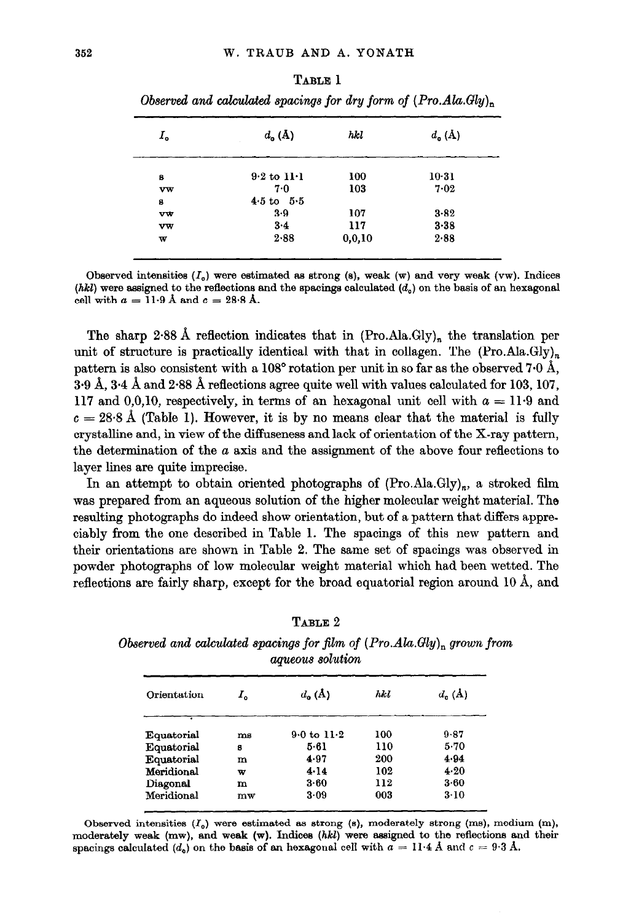|             | $\overline{\phantom{a}}$<br>v<br>. . | . .    | . .                          | . |
|-------------|--------------------------------------|--------|------------------------------|---|
| $I_{\rm o}$ | $d_{o}(\Lambda)$                     | hkl    | $d_{\mathbf{0}}(\mathbf{A})$ |   |
| 8           | $9.2$ to $11.1$                      | 100    | $10-31$                      |   |
| vw          | 7.0                                  | 103    | 7.02                         |   |
| 8           | $4.5 \text{ to } 5.5$                |        |                              |   |
| vw          | 3.9                                  | 107    | 3.82                         |   |
| $v_{w}$     | 3.4                                  | 117    | $3 - 38$                     |   |
| W           | 2.88                                 | 0,0,10 | 2.88                         |   |
|             |                                      |        |                              |   |

| м |  |
|---|--|
|   |  |
|   |  |

Observed and calculated spacings for dry form of  $(Pro.Ala.Gly)$ <sub>n</sub>

Observed intensities  $(I_o)$  were estimated as strong (s), weak (w) and very weak (vw). Indices (hkl) were assigned to the reflections and the spacings calculated  $(d<sub>o</sub>)$  on the basis of an hexagonal cell with  $a = 11.9$  Å and  $c = 28.8$  Å.

The sharp 2.88 Å reflection indicates that in  $(Pro. Ala.Gly)<sub>n</sub>$  the translation per unit of structure is practically identical with that in collagen. The  $(Pro.Ala.Gly)_n$ pattern is also consistent with a  $108^{\circ}$  rotation per unit in so far as the observed 7.0 Å,  $3.9 \text{ Å}, 3.4 \text{ Å}$  and  $2.88 \text{ Å}$  reflections agree quite well with values calculated for 103, 107, 117 and 0,0,10, respectively, in terms of an hexagonal unit cell with  $a = 11.9$  and  $c = 28.8$  Å (Table 1). However, it is by no means clear that the material is fully crystalline and, in view of the diffuseness and lack of orientation of the X-ray pattern, the determination of the  $a$  axis and the assignment of the above four reflections to layer lines are quite imprecise.

In an attempt to obtain oriented photographs of  $(Pro.Ala.Gly)_n$ , a stroked film was prepared from an aqueous solution of the higher molecular weight material. The resulting photographs do indeed show orientation, but of a pattern that differs appreciably from the one described in Table 1. The spacings of this new pattern and their orientations are shown in Table 2. The same set of spacings was observed in powder photographs of low molecular weight material which had been wetted. The reflections are fairly sharp, except for the broad equatorial region around  $10 \text{ Å}$ , and

| ĸ<br>L.<br>ш<br> |
|------------------|
|------------------|

Observed and calculated spacings for film of  $(Pro. Ala.Gly)_n$  grown from aqueous solution

| Orientation | I. | $d_{\alpha}(\mathbf{A})$ | hki | $d_{\alpha}(\mathbf{A})$ |
|-------------|----|--------------------------|-----|--------------------------|
|             |    |                          |     |                          |
| Equatorial  | ms | $9.0 \text{ to } 11.2$   | 100 | 9.87                     |
| Equatorial  | 8  | $5 - 61$                 | 110 | $5 - 70$                 |
| Equatorial  | m  | 4.97                     | 200 | 4.94                     |
| Meridional  | w  | $4 - 14$                 | 102 | 4.20                     |
| Diagonal    | m  | $3 - 60$                 | 112 | 3.60                     |
| Meridional  | mw | 3.09                     | 003 | $3-10$                   |

Observed intensities  $(I_0)$  were estimated as strong (s), moderately strong (ms), modium (m), moderately weak  $(mw)$ , and weak  $(w)$ . Indices  $(hkl)$  were assigned to the reflections and their spacings calculated  $(d_0)$  on the basis of an hexagonal cell with  $a = 11.4$  Å and  $c = 9.3$  Å.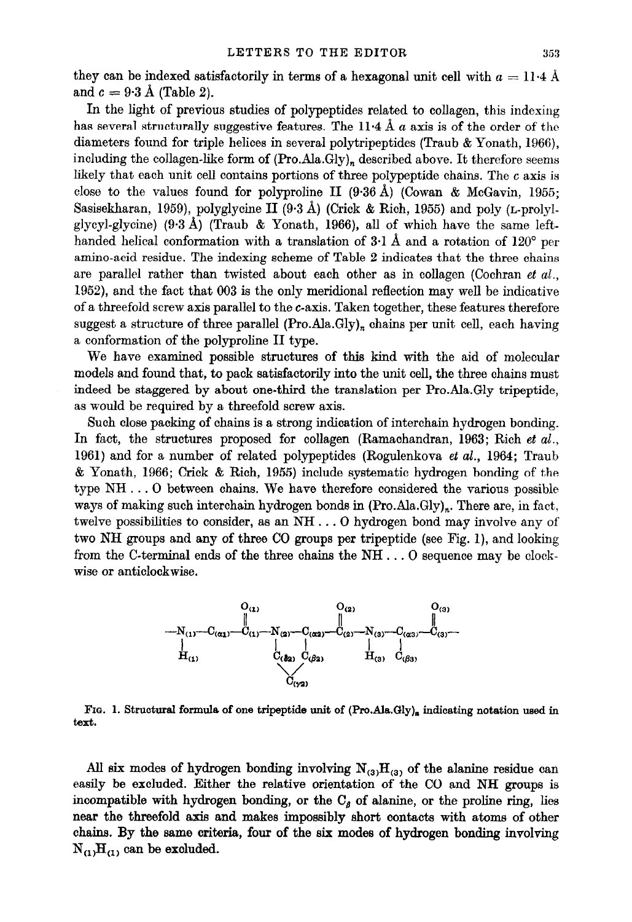they can be indexed satisfactorily in terms of a hexagonal unit cell with  $a = 11.4$  Å and  $c = 9.3$  A (Table 2).

In the light of previous studies of polypeptides related to collagen, this indexing has several structurally suggestive features. The  $11.4 \text{ Å } a$  axis is of the order of the diameters found for triple helices in several polytripeptides (Traub & Yonath, 1966), including the collagen-like form of  $(Pro.Ala.Gly)_n$  described above. It therefore seems likely that each unit cell contains portions of three polypeptide chains. The c axis is close to the values found for polyproline II  $(9.36 \text{ Å})$  (Cowan & McGavin, 1955; Sasisekharan, 1959), polyglycine II (9.3 d) (Crick & Rich, 1955) and poly (L-prolylglycyl-glycine)  $(9.3 \text{ Å})$  (Traub & Yonath, 1966), all of which have the same lefthanded helical conformation with a translation of  $3.1 \text{ Å}$  and a rotation of  $120^{\circ}$  per amino-acid residue. The indexing scheme of Table 2 indicates that the three chains are parallel rather than twisted about each other as in collagen (Cochran et  $al$ . 1952), and the fact that 003 is the only meridional reflection may well be indicative of a threefold screw axis parallel to the c-axis. Taken together, these features therefore suggest a structure of three parallel  $(Pro. Ala.Gly)<sub>n</sub>$  chains per unit cell, each having a conformation of the polyproline II type.

We have examined possible structures of this kind with the aid of molecular models and found that, to pack satisfactorily into the unit cell, the three chains must indeed be staggered by about one-third the translation per Pro.Ala.Gly tripeptide, as would be required by a threefold screw axis.

Such close packing of chains is a strong indioation of interchain hydrogen bonding. In fact, the structures proposed for collagen (Ramachandran, 1963; Rich et al., 1961) and for a number of related polypeptides (Rogulenkova et al., 1964; Traub  $&$  Yonath, 1966; Crick  $&$  Rich, 1955) include systematic hydrogen bonding of the type NH . . . 0 between chains. We have therefore considered the various possible ways of making such interchain hydrogen bonds in  $(Pro.Ala.Gly)_n$ . There are, in fact, twelve possibilities to consider, as an NH . . . 0 hydrogen bond may involve any of two NH groups and any of three CO groups per tripeptide (see Fig. l), and looking from the C-terminal ends of the three chains the NH . . . 0 sequence may be clockwise or anticlockwise.



FIG. 1. Structural formula of one tripeptide unit of  $(Pro.Ala.Gly)_n$  indicating notation used in text.

All six modes of hydrogen bonding involving  $N_{(3)}H_{(3)}$  of the alanine residue can easily be excluded. Either the relative orientation of the CO and NH groups is incompatible with hydrogen bonding, or the  $C<sub>g</sub>$  of alanine, or the proline ring, lies near the threefold axis and makes impossibly short contacts with atoms of other chains. By the same criteria, four of the six modes of hydrogen bonding involving  $N_{(1)}H_{(1)}$  can be excluded.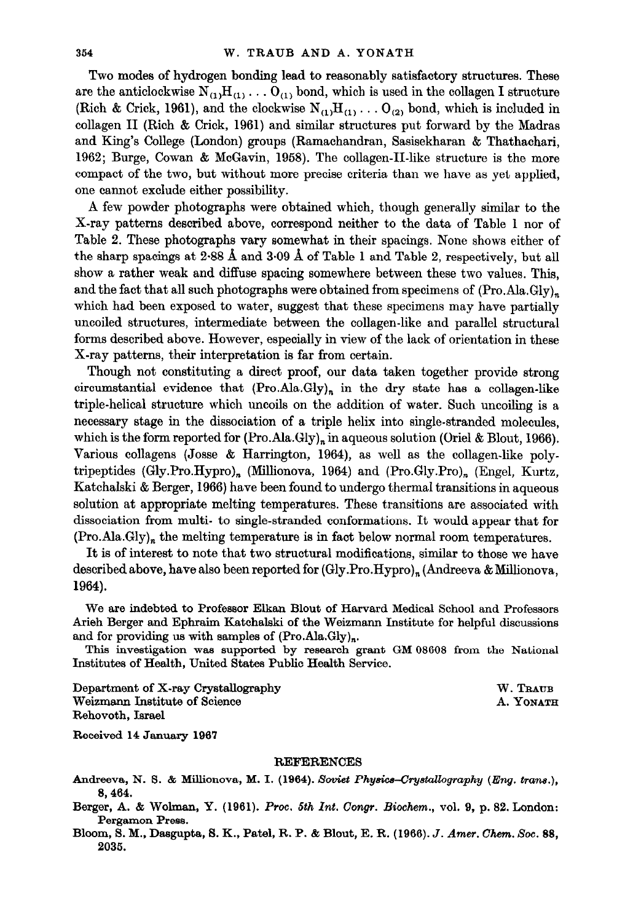Two modes of hydrogen bonding lead to reasonably satisfactory structures. These are the anticlockwise  $N_{(1)}H_{(1)}\ldots O_{(1)}$  bond, which is used in the collagen I structure (Rich & Crick, 1961), and the clockwise  $N_{(1)}H_{(1)}\ldots O_{(2)}$  bond, which is included in collagen II (Rich & Crick, 1961) and similar structures put forward by the Madras and King's College (London) groups (Ramachandran, Sasisekharan & Thathachari, 1962; Burge, Cowan & McGavin, 1958). The collagen-II-like structure is the more compact of the two, but without more precise criteria than we have as yet applied, one cannot exclude either possibility.

A few powder photographs were obtained which, though generally similar to the X-ray patterns described above, correspond neither to the data of Table 1 nor of Table 2. These photographs vary somewhat in their spacings. None shows either of the sharp spacings at 2.88 A and 3.09 A of Table 1 and Table 2, respectively, but all show a rather weak and diffuse spacing somewhere between these two values. This, and the fact that all such photographs were obtained from specimens of  $(Pro. Ala.Gly)<sub>n</sub>$ which had been exposed to water, suggest that these specimens may have partially uncoiled structures, intermediate between the collagen-like and parallel structural forms described above. However, especially in view of the lack of orientation in these X-ray patterns, their interpretation is far from certain.

Though not constituting a direct proof, our data taken together provide strong circumstantial evidence that  $(Pro.Ala.Gly)_n$  in the dry state has a collagen-like triple-helical structure which uncoils on the addition of water. Such uncoiling is a necessary stage in the dissociation of a triple helix into single-stranded molecules, which is the form reported for  $(Pro.Ala.Gly)_n$  in aqueous solution (Oriel & Blout, 1966). Various collagens (Josse & Harrington, 1964), as well as the collagen-like polytripeptides (Gly.Pro.Hypro), (Millionova, 1964) and (Pro.Gly.Pro), (Engel, Kurtz, Katchalski & Berger, 1966) have been found to undergo thermal transitions in aqueous solution at appropriate melting temperatures. These transitions are associated with dissociation from multi- to single-stranded conformations. It would appear that for  $(Pro. Ala.Gly)<sub>n</sub>$  the melting temperature is in fact below normal room temperatures.

It is of interest to note that two structural modifications, similar to those we have described above, have also been reported for (Gly.Pro.Hypro)<sub>n</sub> (Andreeva & Millionova, 1964).

We are indebted to Professor Elkan Blout of Harvard Medical School and Professors Arieh Berger and Ephraim Katchalski of the Weizmann Institute for helpful discussions and for providing us with samples of  $(Pro. Ala.Gly)<sub>n</sub>$ .

This investigation was supported by research grant GM 08608 from the National Institutes of Health, United States Public Health Service.

Department of X-ray Crystallography W. TRAUB Weizmann Institute of Science A. Yonath A. Yonath A. Yonath A. Yonath A. Yonath A. Yonath A. Yonath A. Yonath A. Yonath A. Yonath A. Yonath A. Yonath A. Yonath A. Yonath A. Yonath A. Yonath A. Yonath A. Yonath A. Yonath A. Rehovoth, Israel

Received 14 January 1967

## **REFERENCES**

Andreeva, N. S. & Millionova, M. I. (1964). Soviet Physics-Crystallography (Eng. trans.), 8,464.

Berger, A. & Wolman, Y. (1961). Proc. 5th Int. Congr. Biochem., vol. 9, p. 82. London: Pergamon Press.

Bloom, S. M., Dasgupta, S. K., Patel, R. P. & Blout, E. R. (1966). J. Amer. Chem. Soc. 88, 2036.